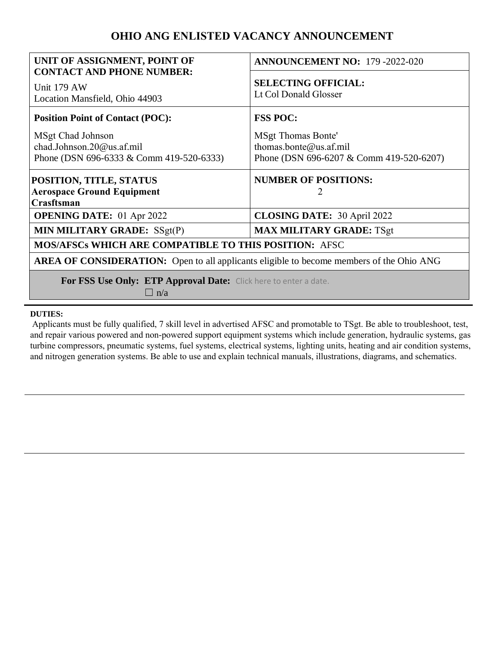# **OHIO ANG ENLISTED VACANCY ANNOUNCEMENT**

| UNIT OF ASSIGNMENT, POINT OF                                                                    | <b>ANNOUNCEMENT NO: 179 -2022-020</b>                                                           |
|-------------------------------------------------------------------------------------------------|-------------------------------------------------------------------------------------------------|
| <b>CONTACT AND PHONE NUMBER:</b><br>Unit 179 AW<br>Location Mansfield, Ohio 44903               | <b>SELECTING OFFICIAL:</b><br>Lt Col Donald Glosser                                             |
| <b>Position Point of Contact (POC):</b>                                                         | <b>FSS POC:</b>                                                                                 |
| MSgt Chad Johnson<br>chad.Johnson.20@us.af.mil<br>Phone (DSN 696-6333 & Comm 419-520-6333)      | <b>MSgt Thomas Bonte'</b><br>thomas.bonte@us.af.mil<br>Phone (DSN 696-6207 & Comm 419-520-6207) |
| POSITION, TITLE, STATUS<br><b>Aerospace Ground Equipment</b><br>Crasftsman                      | <b>NUMBER OF POSITIONS:</b>                                                                     |
| <b>OPENING DATE:</b> 01 Apr 2022                                                                | <b>CLOSING DATE: 30 April 2022</b>                                                              |
| MIN MILITARY GRADE: SSgt(P)                                                                     | <b>MAX MILITARY GRADE: TSgt</b>                                                                 |
| MOS/AFSCs WHICH ARE COMPATIBLE TO THIS POSITION: AFSC                                           |                                                                                                 |
| <b>AREA OF CONSIDERATION:</b> Open to all applicants eligible to become members of the Ohio ANG |                                                                                                 |
| For FSS Use Only: ETP Approval Date: Click here to enter a date.<br>$\Box$ n/a                  |                                                                                                 |

#### **DUTIES:**

Applicants must be fully qualified, 7 skill level in advertised AFSC and promotable to TSgt. Be able to troubleshoot, test, and repair various powered and non-powered support equipment systems which include generation, hydraulic systems, gas turbine compressors, pneumatic systems, fuel systems, electrical systems, lighting units, heating and air condition systems, and nitrogen generation systems. Be able to use and explain technical manuals, illustrations, diagrams, and schematics.